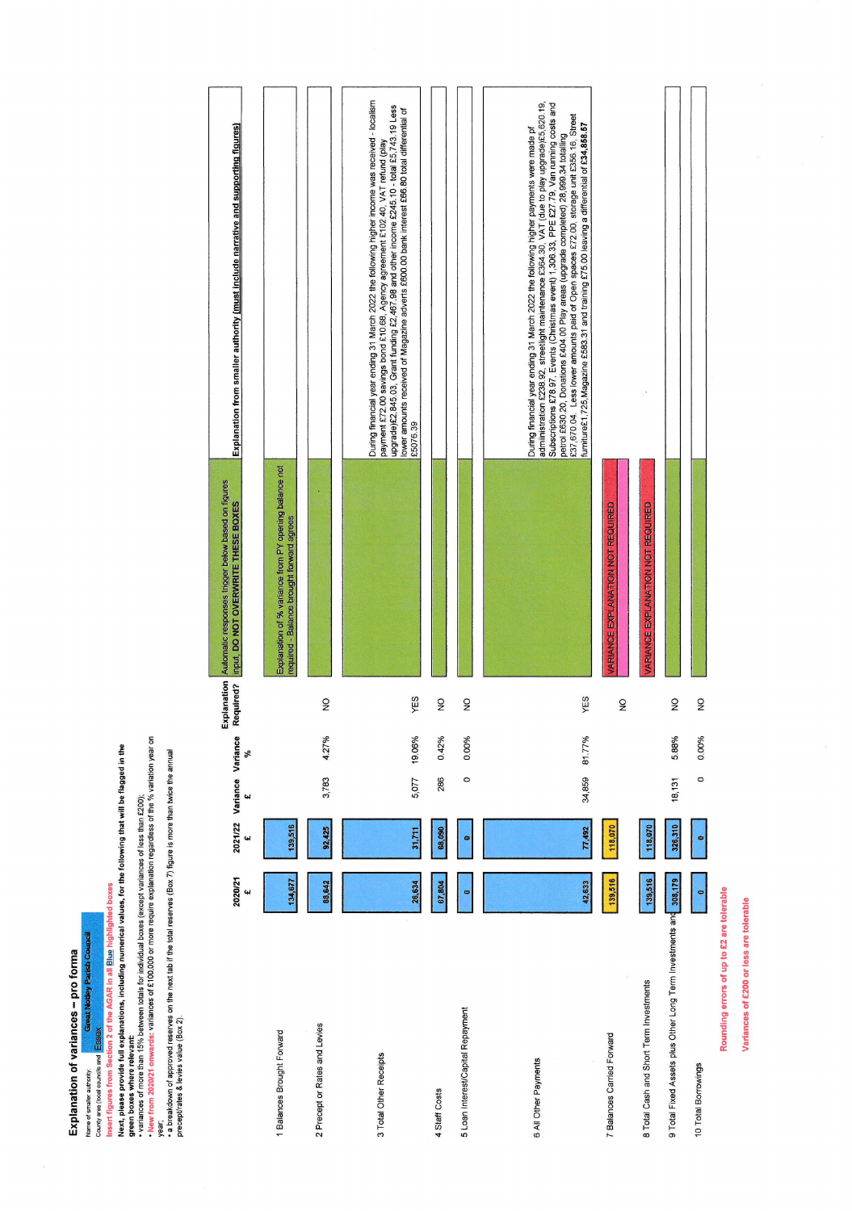Explanation of variances - pro forma

Name of snalle authory.<br>County area (local councils and ESSEX Modisey Parish Council)<br>Insert figures from Section 2 of the AGAR in all <u>Blue</u> highlighted boxes<br>Next, please provide full explanations, including numerical v

|                                                           | 2020/21 | 2021/22<br>41 | Variance Variance<br>Щ | శ      | Explanation<br>Required? | Automatic responses trigger below based on figures<br>input, DO NOT OVERWRITE THESE BOXES          | Explanation from smaller authority <u>(must include narrative and supporting figures)</u>                                                                                                                                                                                                                                                                                                                                                                                                                                                                              |  |
|-----------------------------------------------------------|---------|---------------|------------------------|--------|--------------------------|----------------------------------------------------------------------------------------------------|------------------------------------------------------------------------------------------------------------------------------------------------------------------------------------------------------------------------------------------------------------------------------------------------------------------------------------------------------------------------------------------------------------------------------------------------------------------------------------------------------------------------------------------------------------------------|--|
|                                                           |         |               |                        |        |                          |                                                                                                    |                                                                                                                                                                                                                                                                                                                                                                                                                                                                                                                                                                        |  |
| 1 Balances Brought Forward                                | 134,677 | 139,516       |                        |        |                          | Explanation of % variance from PY opening balance not<br>required - Balance brought forward agrees |                                                                                                                                                                                                                                                                                                                                                                                                                                                                                                                                                                        |  |
| 2 Precept or Rates and Levies                             | 88,642  | 92,425        | 3,783                  | 4.27%  | $\frac{1}{2}$            |                                                                                                    |                                                                                                                                                                                                                                                                                                                                                                                                                                                                                                                                                                        |  |
| 3 Total Other Receipts                                    | 26,634  | 31,711        | 5,077                  | 19.06% | YES                      | £5076.39                                                                                           | During financial year ending 31 March 2022 the following higher income was received - localism<br>upgrade)£2,845.03, Grant funding £2,467.98 and other income £245.10 - total £5,743.19 Less<br>lower amounts received of Magazine adverts £600.00 bank interest £66.80 total differential of<br>payment £72.00 savings bond £10.68, Agency agreement £102.40, VAT refund (play                                                                                                                                                                                        |  |
| 4 Staff Costs                                             | 67,804  | 68,090        | 286                    | 0.42%  | $\frac{1}{2}$            |                                                                                                    |                                                                                                                                                                                                                                                                                                                                                                                                                                                                                                                                                                        |  |
| 5 Loan Interest/Capital Repayment                         |         | ۰             | $\circ$                | 0.00%  | $\frac{1}{2}$            |                                                                                                    |                                                                                                                                                                                                                                                                                                                                                                                                                                                                                                                                                                        |  |
| 6 All Other Payments                                      | 42,633  | 77,492        | 34,859                 | 81.77% | YES                      |                                                                                                    | Subscriptions £78.97, Events (Christmas event) 1,306.33, PPE £27.79, Van running costs and<br>admiinistration £238.92, streetlight maintenance £364.30, VAT (due to play upgrade)£5,620.19,<br>petrol £630.20, Donations £404.00 Play areas (upgrade completed) 28,999.34 totalling<br>£37,670.04.  Less lower amounts paid of Open spaces £72.00, storage unit £356.16, Street<br>furniture£1,725, Magazine £583.31 and training £75.00 leaving a differential of £34,858.57<br>During financial year ending 31 March 2022 the following higher payments were made pf |  |
| 7 Balances Carried Forward                                | 139,516 | 118,070       |                        |        | $\frac{1}{2}$            | <b>ARIANCE EXPLANATION NOT REQUIRED</b>                                                            |                                                                                                                                                                                                                                                                                                                                                                                                                                                                                                                                                                        |  |
| 8 Total Cash and Short Term Investments                   | 139,516 | 118,070       |                        |        |                          | VARIANCE EXPLANATION NOT REQUIRED                                                                  |                                                                                                                                                                                                                                                                                                                                                                                                                                                                                                                                                                        |  |
| 9 Total Fixed Assets plus Other Long Term Investments and | 308,179 | 326,310       | 18,131                 | 5.88%  | $\frac{1}{2}$            |                                                                                                    |                                                                                                                                                                                                                                                                                                                                                                                                                                                                                                                                                                        |  |
| 10 Total Borrowings                                       | ۰       | $\bullet$     | $\circ$                | 0.00%  | $\frac{1}{2}$            |                                                                                                    |                                                                                                                                                                                                                                                                                                                                                                                                                                                                                                                                                                        |  |
| Rounding errors of up to £2 are tolerable                 |         |               |                        |        |                          |                                                                                                    |                                                                                                                                                                                                                                                                                                                                                                                                                                                                                                                                                                        |  |

Variances of £200 or less are tolerable